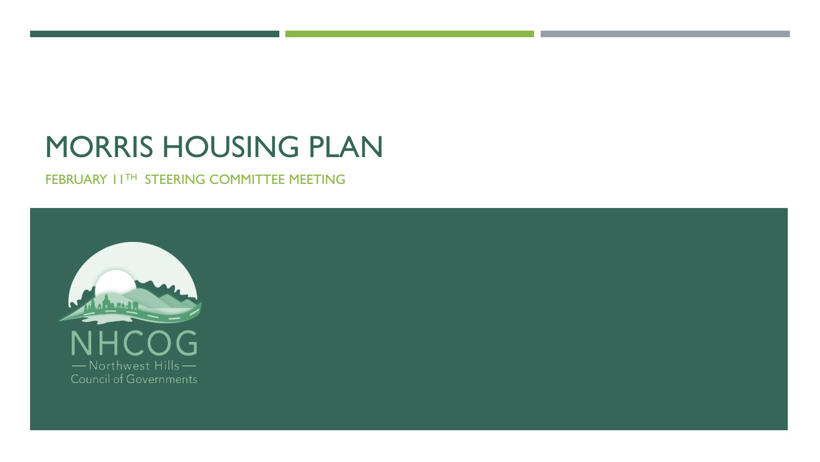## MORRIS HOUSING PLAN

FEBRUARY 11TH STEERING COMMITTEE MEETING

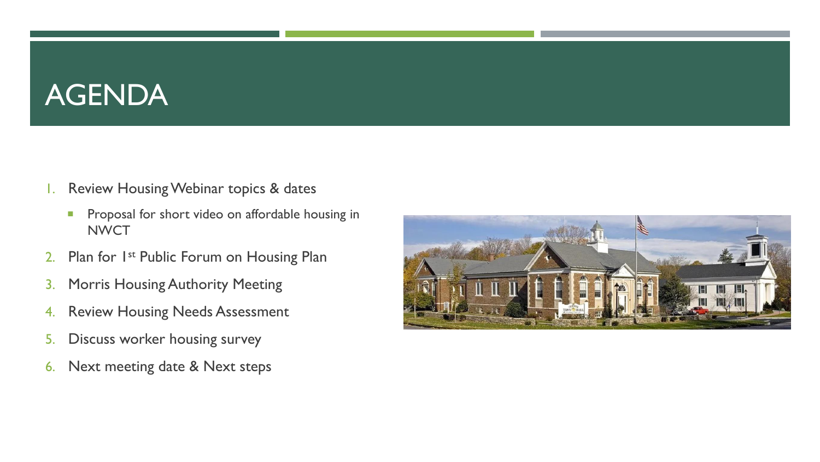# AGENDA

- 1. Review Housing Webinar topics & dates
	- **Proposal for short video on affordable housing in NWCT**
- 2. Plan for 1st Public Forum on Housing Plan
- 3. Morris Housing Authority Meeting
- 4. Review Housing Needs Assessment
- 5. Discuss worker housing survey
- 6. Next meeting date & Next steps

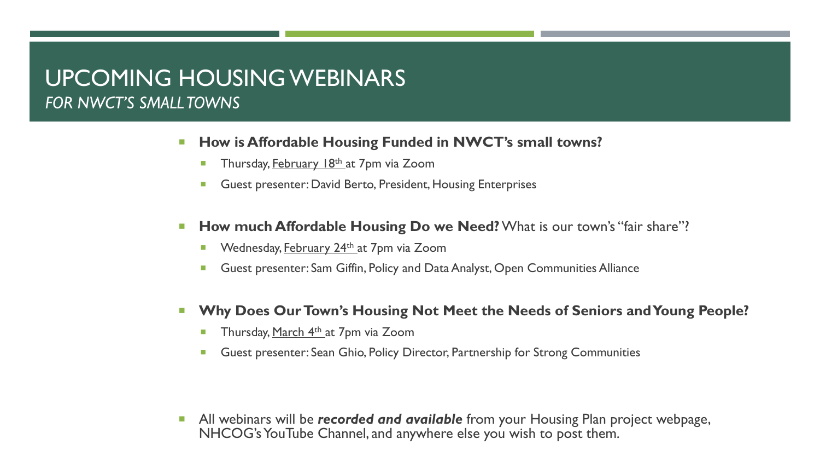### UPCOMING HOUSING WEBINARS *FOR NWCT'S SMALL TOWNS*

- **How is Affordable Housing Funded in NWCT's small towns?** 
	- **Thursday, February 18th at 7pm via Zoom**
	- Guest presenter: David Berto, President, Housing Enterprises
- **How much Affordable Housing Do we Need?** What is our town's "fair share"?
	- **Wednesday, February 24<sup>th</sup> at 7pm via Zoom**
	- Guest presenter: Sam Giffin, Policy and Data Analyst, Open Communities Alliance
- **Why Does Our Town's Housing Not Meet the Needs of Seniors and Young People?**
	- **Thursday, March 4th at 7pm via Zoom**
	- **Guest presenter: Sean Ghio, Policy Director, Partnership for Strong Communities**

**All webinars will be recorded and available** from your Housing Plan project webpage, NHCOG's YouTube Channel, and anywhere else you wish to post them.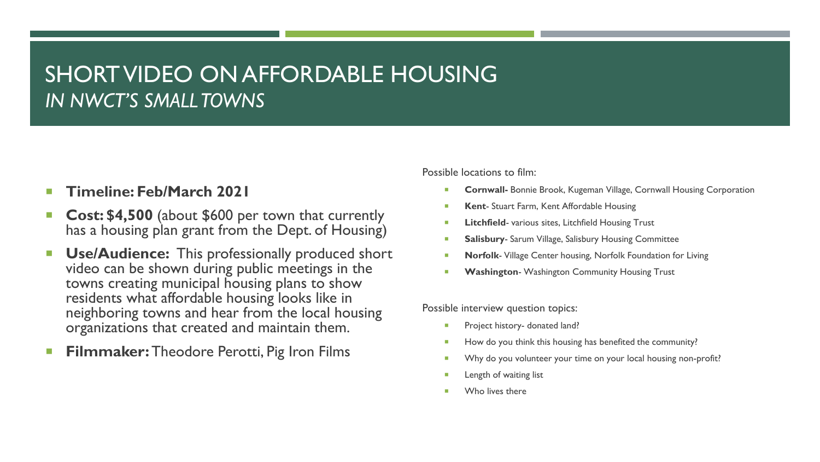## SHORT VIDEO ON AFFORDABLE HOUSING *IN NWCT'S SMALL TOWNS*

### **Timeline: Feb/March 2021**

- **Cost: \$4,500** (about \$600 per town that currently has a housing plan grant from the Dept. of Housing)
- **Use/Audience:** This professionally produced short video can be shown during public meetings in the towns creating municipal housing plans to show residents what affordable housing looks like in neighboring towns and hear from the local housing organizations that created and maintain them.
- **Filmmaker:** Theodore Perotti, Pig Iron Films

Possible locations to film:

- **Cornwall-** Bonnie Brook, Kugeman Village, Cornwall Housing Corporation
- **Kent** Stuart Farm, Kent Affordable Housing
- **Litchfield** various sites, Litchfield Housing Trust
- **Salisbury** Sarum Village, Salisbury Housing Committee
- **Norfolk** Village Center housing, Norfolk Foundation for Living
- **Washington** Washington Community Housing Trust

Possible interview question topics:

- **Project history- donated land?**
- How do you think this housing has benefited the community?
- Why do you volunteer your time on your local housing non-profit?
- Length of waiting list
- Who lives there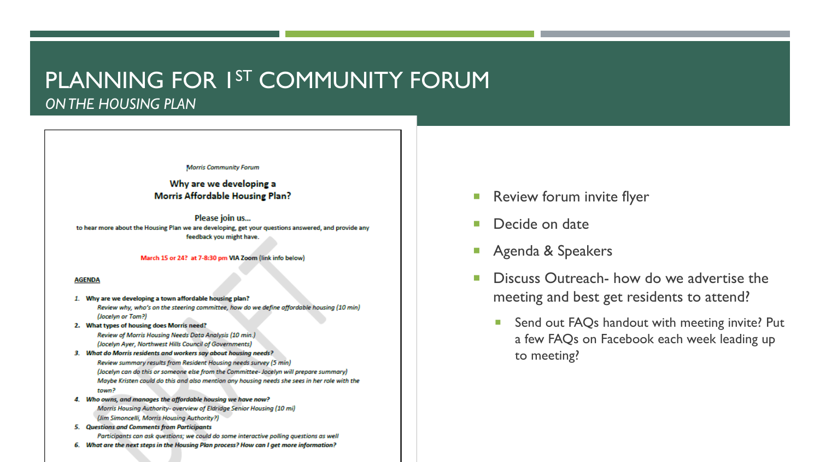### PLANNING FOR 1<sup>ST</sup> COMMUNITY FORUM *ON THE HOUSING PLAN*

**Morris Community Forum** 

Why are we developing a **Morris Affordable Housing Plan?** 

Please join us... to hear more about the Housing Plan we are developing, get your questions answered, and provide any feedback you might have.

March 15 or 24? at 7-8:30 pm VIA Zoom (link info below)

#### **AGENDA**

- 1. Why are we developing a town affordable housing plan? Review why, who's on the steering committee, how do we define affordable housing (10 min) (Jocelyn or Tom?)
- 2. What types of housing does Morris need? Review of Morris Housing Needs Data Analysis (10 min.) (Jocelyn Ayer, Northwest Hills Council of Governments)
- 3. What do Morris residents and workers say about housing needs?

Review summary results from Resident Housing needs survey (5 min) (Jocelyn can do this or someone else from the Committee- Jocelyn will prepare summary) Maybe Kristen could do this and also mention any housing needs she sees in her role with the town?

- 4. Who owns, and manages the affordable housing we have now? Morris Housing Authority- overview of Eldridge Senior Housing (10 mi) (Jim Simoncelli, Morris Housing Authority?)
- 5. Questions and Comments from Participants Participants can ask questions; we could do some interactive polling questions as well
- 6. What are the next steps in the Housing Plan process? How can I get more information?
- **Review forum invite flyer**
- **Decide on date**
- **Agenda & Speakers**
- **Discuss Outreach- how do we advertise the** meeting and best get residents to attend?
	- Send out FAQs handout with meeting invite? Put a few FAQs on Facebook each week leading up to meeting?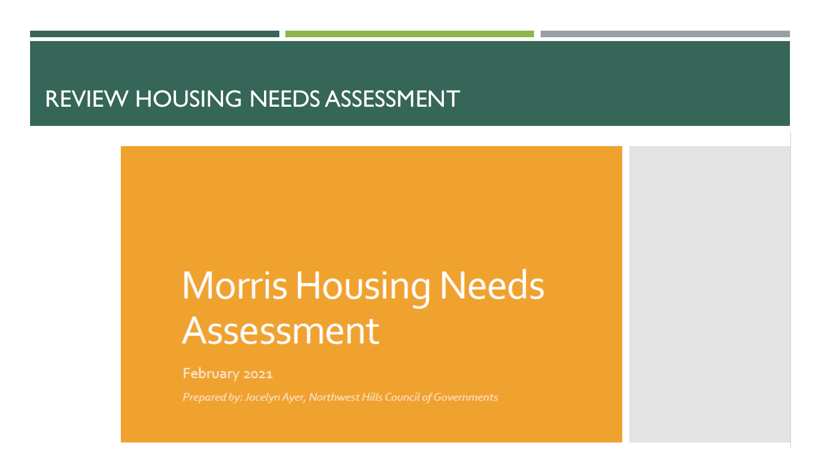### REVIEW HOUSING NEEDS ASSESSMENT

# **Morris Housing Needs** Assessment

February 2021

Prepared by: Jocelyn Ayer, Northwest Hills Council of Governments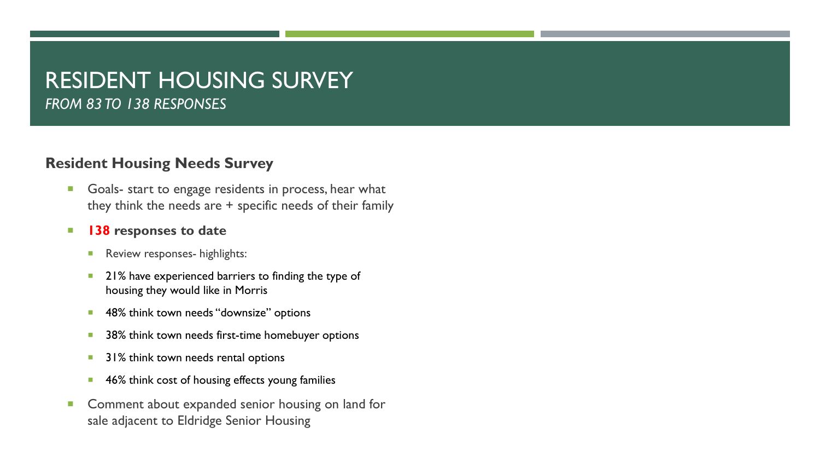### RESIDENT HOUSING SURVEY *FROM 83 TO 138 RESPONSES*

### **Resident Housing Needs Survey**

Goals- start to engage residents in process, hear what they think the needs are + specific needs of their family

### **138 responses to date**

- **Review responses- highlights:**
- **21%** have experienced barriers to finding the type of housing they would like in Morris
- **48% think town needs "downsize" options**
- 38% think town needs first-time homebuyer options
- **31% think town needs rental options**
- **46% think cost of housing effects young families**
- **Comment about expanded senior housing on land for** sale adjacent to Eldridge Senior Housing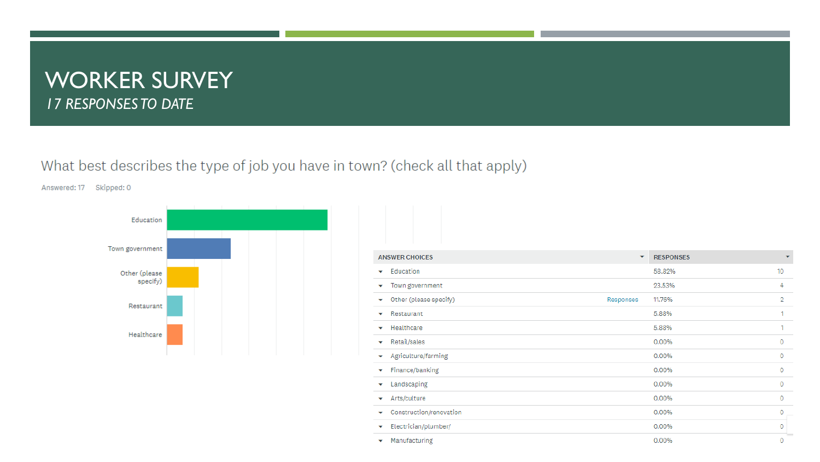### WORKER SURVEY *17 RESPONSES TO DATE*

### What best describes the type of job you have in town? (check all that apply)

Answered: 17 Skipped: 0



| <b>ANSWER CHOICES</b>        | $\overline{\phantom{a}}$ | <b>RESPONSES</b> | $\overline{\phantom{0}}$ |
|------------------------------|--------------------------|------------------|--------------------------|
| Education<br>▼               |                          | 58.82%           | 10 <sup>°</sup>          |
| Town government<br>▽         |                          | 23.53%           | 4                        |
| Other (please specify)<br>▼  | Responses                | 11.76%           | $\overline{2}$           |
| Restaurant<br>۰              |                          | 5.88%            |                          |
| Healthcare<br>$\checkmark$   |                          | 5.88%            |                          |
| Retail/sales<br>▼            |                          | 0.00%            | 0                        |
| Agriculture/farming<br>▼     |                          | 0.00%            | 0                        |
| Finance/banking<br>▼         |                          | 0.00%            | 0                        |
| Landscaping<br>۰             |                          | 0.00%            | 0                        |
| Arts/culture<br>▼            |                          | 0.00%            | O                        |
| Construction/renovation<br>▼ |                          | 0.00%            | 0                        |
| Electrician/plumber/<br>▼    |                          | 0.00%            | 0                        |
| Manufacturing<br>▼           |                          | 0.00%            | 0                        |
|                              |                          |                  |                          |